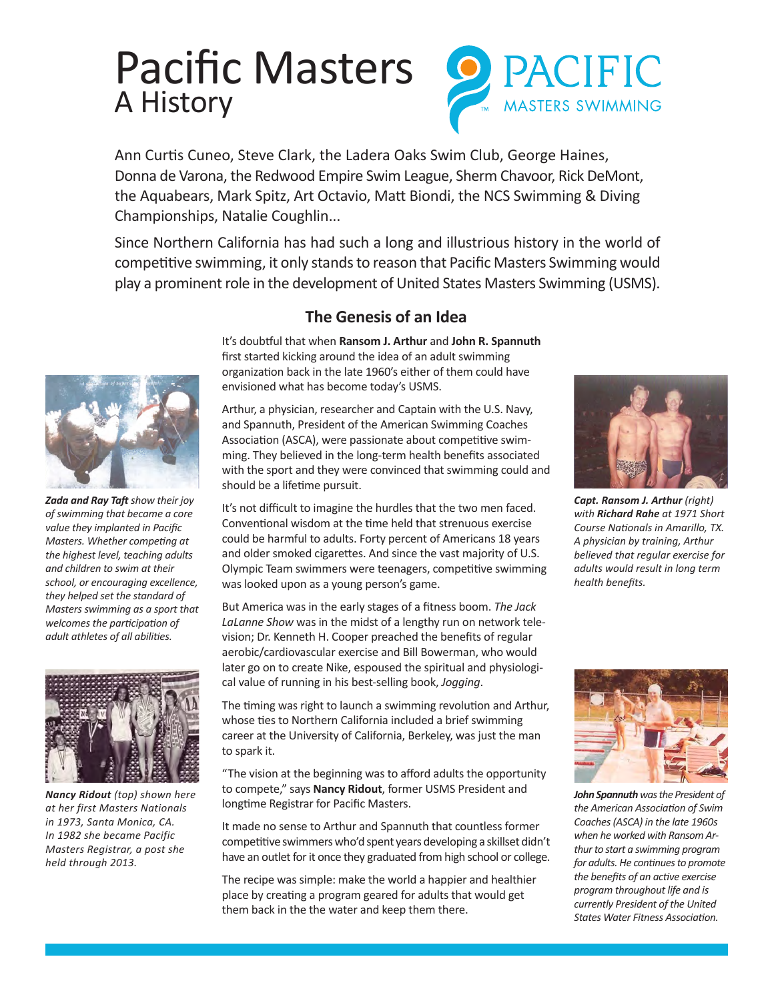# Pacific Masters A History



Ann Curtis Cuneo, Steve Clark, the Ladera Oaks Swim Club, George Haines, Donna de Varona, the Redwood Empire Swim League, Sherm Chavoor, Rick DeMont, the Aquabears, Mark Spitz, Art Octavio, Matt Biondi, the NCS Swimming & Diving Championships, Natalie Coughlin...

Since Northern California has had such a long and illustrious history in the world of competitive swimming, it only stands to reason that Pacific Masters Swimming would play a prominent role in the development of United States Masters Swimming (USMS).



*Zada and Ray Taft show their joy of swimming that became a core value they implanted in Pacific Masters. Whether competing at the highest level, teaching adults and children to swim at their school, or encouraging excellence, they helped set the standard of Masters swimming as a sport that welcomes the participation of adult athletes of all abilities.*



*Nancy Ridout (top) shown here at her first Masters Nationals in 1973, Santa Monica, CA. In 1982 she became Pacific Masters Registrar, a post she held through 2013.*

# **The Genesis of an Idea**

It's doubtful that when **Ransom J. Arthur** and **John R. Spannuth** first started kicking around the idea of an adult swimming organization back in the late 1960's either of them could have envisioned what has become today's USMS.

Arthur, a physician, researcher and Captain with the U.S. Navy, and Spannuth, President of the American Swimming Coaches Association (ASCA), were passionate about competitive swimming. They believed in the long-term health benefits associated with the sport and they were convinced that swimming could and should be a lifetime pursuit.

It's not difficult to imagine the hurdles that the two men faced. Conventional wisdom at the time held that strenuous exercise could be harmful to adults. Forty percent of Americans 18 years and older smoked cigarettes. And since the vast majority of U.S. Olympic Team swimmers were teenagers, competitive swimming was looked upon as a young person's game.

But America was in the early stages of a fitness boom. *The Jack LaLanne Show* was in the midst of a lengthy run on network television; Dr. Kenneth H. Cooper preached the benefits of regular aerobic/cardiovascular exercise and Bill Bowerman, who would later go on to create Nike, espoused the spiritual and physiological value of running in his best-selling book, *Jogging*.

The timing was right to launch a swimming revolution and Arthur, whose ties to Northern California included a brief swimming career at the University of California, Berkeley, was just the man to spark it.

"The vision at the beginning was to afford adults the opportunity to compete," says **Nancy Ridout**, former USMS President and longtime Registrar for Pacific Masters.

It made no sense to Arthur and Spannuth that countless former competitive swimmers who'd spent years developing a skillset didn't have an outlet for it once they graduated from high school or college.

The recipe was simple: make the world a happier and healthier place by creating a program geared for adults that would get them back in the the water and keep them there.



5 R.Rahe & R.Arthur *Course Nationals in Amarillo, TX.*  short Deba et 4074 Ch Amarillo, TX 1971 *with Richard Rahe at 1971 Short Capt. Ransom J. Arthur (right) A physician by training, Arthur believed that regular exercise for adults would result in long term health benefits.* 



13 *thur to start a swimming program*  when he worked with Ransom Ar-*John Spannuth was the President of the American Association of Swim Coaches (ASCA) in the late 1960s for adults. He continues to promote the benefits of an active exercise program throughout life and is currently President of the United States Water Fitness Association.*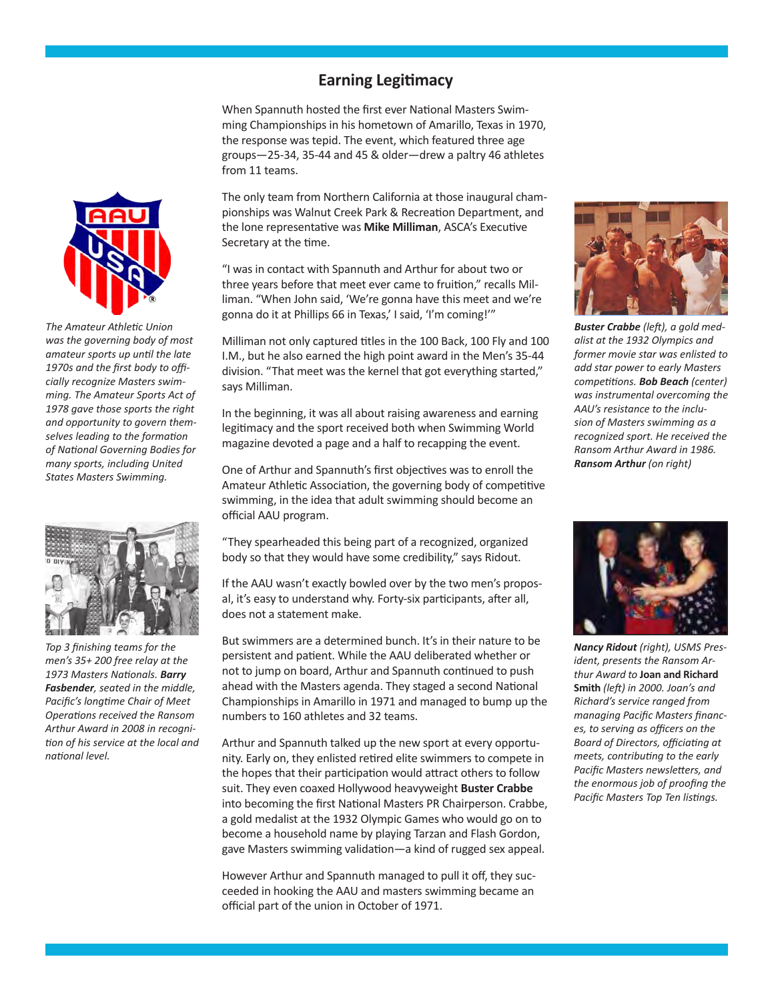#### **Earning Legitimacy**

When Spannuth hosted the first ever National Masters Swimming Championships in his hometown of Amarillo, Texas in 1970, the response was tepid. The event, which featured three age groups—25-34, 35-44 and 45 & older—drew a paltry 46 athletes from 11 teams.

The only team from Northern California at those inaugural championships was Walnut Creek Park & Recreation Department, and the lone representative was **Mike Milliman**, ASCA's Executive Secretary at the time.

"I was in contact with Spannuth and Arthur for about two or three years before that meet ever came to fruition," recalls Milliman. "When John said, 'We're gonna have this meet and we're gonna do it at Phillips 66 in Texas,' I said, 'I'm coming!'"

Milliman not only captured titles in the 100 Back, 100 Fly and 100 I.M., but he also earned the high point award in the Men's 35-44 division. "That meet was the kernel that got everything started," says Milliman.

In the beginning, it was all about raising awareness and earning legitimacy and the sport received both when Swimming World magazine devoted a page and a half to recapping the event.

One of Arthur and Spannuth's first objectives was to enroll the Amateur Athletic Association, the governing body of competitive swimming, in the idea that adult swimming should become an official AAU program.

"They spearheaded this being part of a recognized, organized body so that they would have some credibility," says Ridout.

If the AAU wasn't exactly bowled over by the two men's proposal, it's easy to understand why. Forty-six participants, after all, does not a statement make.

But swimmers are a determined bunch. It's in their nature to be persistent and patient. While the AAU deliberated whether or not to jump on board, Arthur and Spannuth continued to push ahead with the Masters agenda. They staged a second National Championships in Amarillo in 1971 and managed to bump up the numbers to 160 athletes and 32 teams.

Arthur and Spannuth talked up the new sport at every opportunity. Early on, they enlisted retired elite swimmers to compete in the hopes that their participation would attract others to follow suit. They even coaxed Hollywood heavyweight **Buster Crabbe** into becoming the first National Masters PR Chairperson. Crabbe, a gold medalist at the 1932 Olympic Games who would go on to become a household name by playing Tarzan and Flash Gordon, gave Masters swimming validation—a kind of rugged sex appeal.

However Arthur and Spannuth managed to pull it off, they succeeded in hooking the AAU and masters swimming became an official part of the union in October of 1971.



former movie star was enlisted to alist at the 1932 Olympics and *Buster Crabbe (left), a gold medadd star power to early Masters competitions. Bob Beach (center) was instrumental overcoming the AAU's resistance to the inclusion of Masters swimming as a recognized sport. He received the Ransom Arthur Award in 1986. Ransom Arthur (on right)*



*Nancy Ridout (right), USMS President, presents the Ransom Arthur Award to* **Joan and Richard Smith** *(left) in 2000. Joan's and Richard's service ranged from managing Pacific Masters finances, to serving as officers on the Board of Directors, officiating at meets, contributing to the early Pacific Masters newsletters, and the enormous job of proofing the Pacific Masters Top Ten listings.* 



*The Amateur Athletic Union was the governing body of most amateur sports up until the late 1970s and the first body to officially recognize Masters swimming. The Amateur Sports Act of 1978 gave those sports the right and opportunity to govern themselves leading to the formation of National Governing Bodies for many sports, including United States Masters Swimming.*



*Top 3 finishing teams for the men's 35+ 200 free relay at the 1973 Masters Nationals. Barry Fasbender, seated in the middle, Pacific's longtime Chair of Meet Operations received the Ransom Arthur Award in 2008 in recognition of his service at the local and national level.*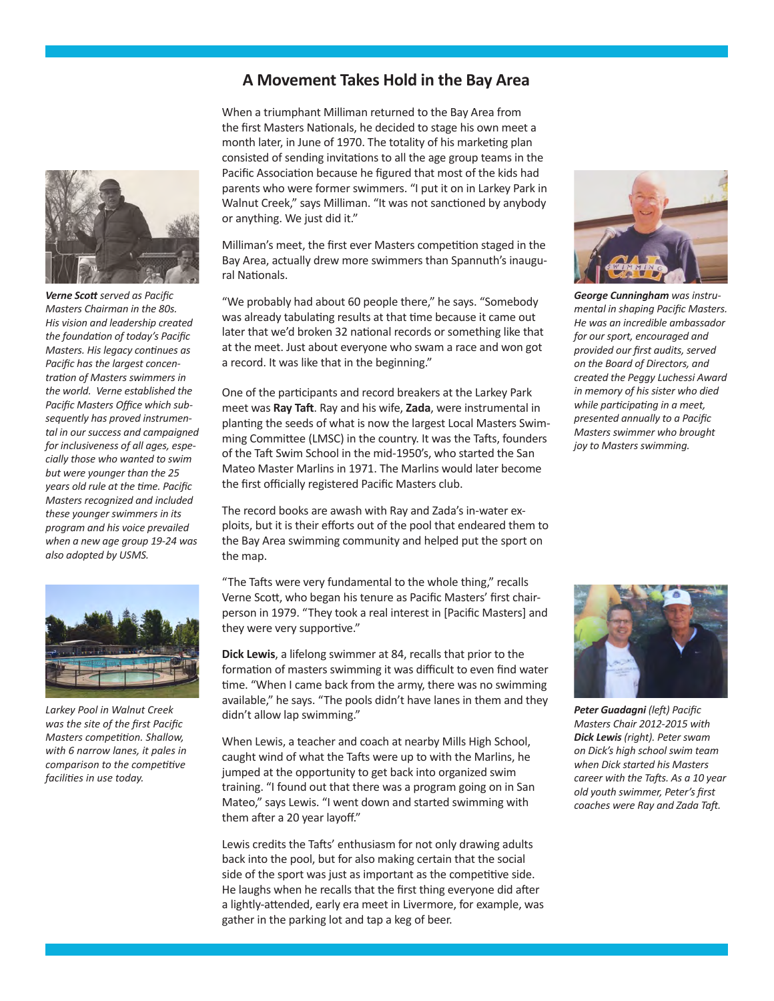### **A Movement Takes Hold in the Bay Area**



*Verne Scott served as Pacific Masters Chairman in the 80s. His vision and leadership created the foundation of today's Pacific Masters. His legacy continues as Pacific has the largest concentration of Masters swimmers in the world. Verne established the Pacific Masters Office which subsequently has proved instrumental in our success and campaigned for inclusiveness of all ages, especially those who wanted to swim but were younger than the 25 years old rule at the time. Pacific Masters recognized and included these younger swimmers in its program and his voice prevailed when a new age group 19-24 was also adopted by USMS.*



*Larkey Pool in Walnut Creek was the site of the first Pacific Masters competition. Shallow, with 6 narrow lanes, it pales in comparison to the competitive facilities in use today.*

When a triumphant Milliman returned to the Bay Area from the first Masters Nationals, he decided to stage his own meet a month later, in June of 1970. The totality of his marketing plan consisted of sending invitations to all the age group teams in the Pacific Association because he figured that most of the kids had parents who were former swimmers. "I put it on in Larkey Park in Walnut Creek," says Milliman. "It was not sanctioned by anybody or anything. We just did it."

Milliman's meet, the first ever Masters competition staged in the Bay Area, actually drew more swimmers than Spannuth's inaugural Nationals.

"We probably had about 60 people there," he says. "Somebody was already tabulating results at that time because it came out later that we'd broken 32 national records or something like that at the meet. Just about everyone who swam a race and won got a record. It was like that in the beginning."

One of the participants and record breakers at the Larkey Park meet was **Ray Taft**. Ray and his wife, **Zada**, were instrumental in planting the seeds of what is now the largest Local Masters Swimming Committee (LMSC) in the country. It was the Tafts, founders of the Taft Swim School in the mid-1950's, who started the San Mateo Master Marlins in 1971. The Marlins would later become the first officially registered Pacific Masters club.

The record books are awash with Ray and Zada's in-water exploits, but it is their efforts out of the pool that endeared them to the Bay Area swimming community and helped put the sport on the map.

"The Tafts were very fundamental to the whole thing," recalls Verne Scott, who began his tenure as Pacific Masters' first chairperson in 1979. "They took a real interest in [Pacific Masters] and they were very supportive."

**Dick Lewis**, a lifelong swimmer at 84, recalls that prior to the formation of masters swimming it was difficult to even find water time. "When I came back from the army, there was no swimming available," he says. "The pools didn't have lanes in them and they didn't allow lap swimming."

When Lewis, a teacher and coach at nearby Mills High School, caught wind of what the Tafts were up to with the Marlins, he jumped at the opportunity to get back into organized swim training. "I found out that there was a program going on in San Mateo," says Lewis. "I went down and started swimming with them after a 20 year layoff."

Lewis credits the Tafts' enthusiasm for not only drawing adults back into the pool, but for also making certain that the social side of the sport was just as important as the competitive side. He laughs when he recalls that the first thing everyone did after a lightly-attended, early era meet in Livermore, for example, was gather in the parking lot and tap a keg of beer.



*George Cunningham was instrumental in shaping Pacific Masters. He was an incredible ambassador for our sport, encouraged and provided our first audits, served on the Board of Directors, and created the Peggy Luchessi Award in memory of his sister who died while participating in a meet, presented annually to a Pacific Masters swimmer who brought joy to Masters swimming.*



*Peter Guadagni (left) Pacific Masters Chair 2012-2015 with Dick Lewis (right). Peter swam on Dick's high school swim team when Dick started his Masters career with the Tafts. As a 10 year old youth swimmer, Peter's first coaches were Ray and Zada Taft.*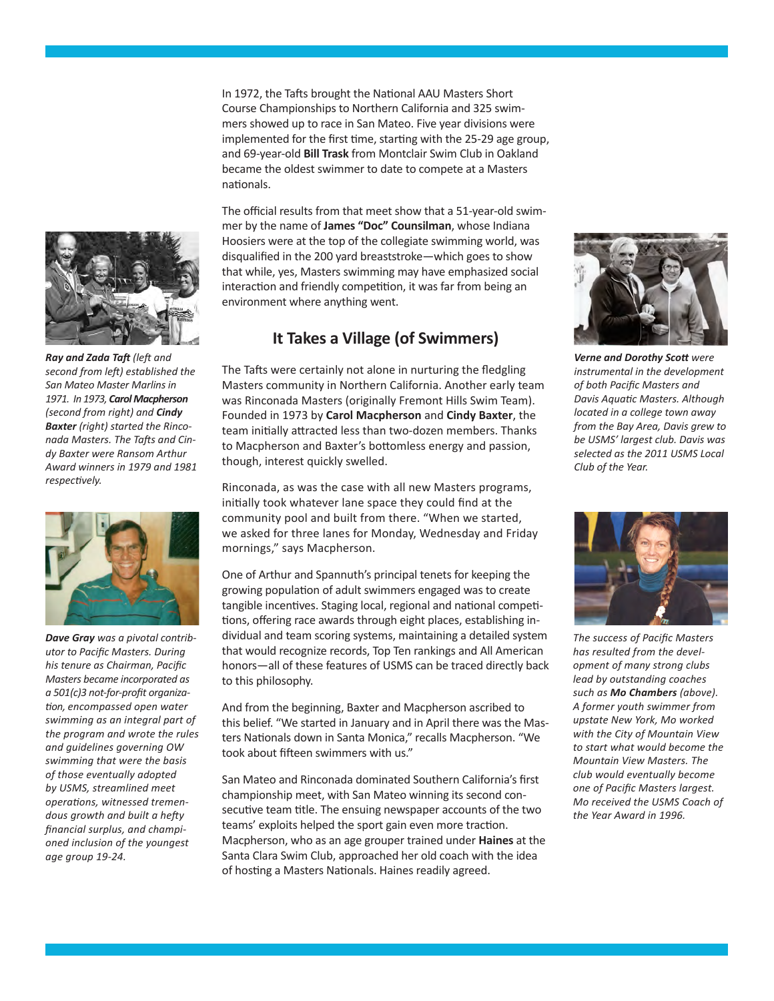In 1972, the Tafts brought the National AAU Masters Short Course Championships to Northern California and 325 swimmers showed up to race in San Mateo. Five year divisions were implemented for the first time, starting with the 25-29 age group, and 69-year-old **Bill Trask** from Montclair Swim Club in Oakland became the oldest swimmer to date to compete at a Masters nationals.

The official results from that meet show that a 51-year-old swimmer by the name of **James "Doc" Counsilman**, whose Indiana Hoosiers were at the top of the collegiate swimming world, was disqualified in the 200 yard breaststroke—which goes to show that while, yes, Masters swimming may have emphasized social interaction and friendly competition, it was far from being an environment where anything went.

# **It Takes a Village (of Swimmers)**

was Rinconada Masters (originally Fremont Hills Swim Team). Founded in 1973 by *Carol Macpherson* and *Cindy Baxter*, the team initially attracted less than two-dozen members. Thanks to Macpherson and Baxter's bottomless energy and passion, though, interest quickly swelled. The Tafts were certainly not alone in nurturing the fledgling Masters community in Northern California. Another early team

Rinconada, as was the case with all new Masters programs, initially took whatever lane space they could find at the community pool and built from there. "When we started, we asked for three lanes for Monday, Wednesday and Friday mornings," says Macpherson.

One of Arthur and Spannuth's principal tenets for keeping the growing population of adult swimmers engaged was to create tangible incentives. Staging local, regional and national competitions, offering race awards through eight places, establishing individual and team scoring systems, maintaining a detailed system that would recognize records, Top Ten rankings and All American honors—all of these features of USMS can be traced directly back to this philosophy.

And from the beginning, Baxter and Macpherson ascribed to this belief. "We started in January and in April there was the Masters Nationals down in Santa Monica," recalls Macpherson. "We took about fifteen swimmers with us."

San Mateo and Rinconada dominated Southern California's first championship meet, with San Mateo winning its second consecutive team title. The ensuing newspaper accounts of the two teams' exploits helped the sport gain even more traction. Macpherson, who as an age grouper trained under **Haines** at the Santa Clara Swim Club, approached her old coach with the idea of hosting a Masters Nationals. Haines readily agreed.



*selected as the 2011 USMS Local* 

*Club of the Year.*



*The success of Pacific Masters has resulted from the development of many strong clubs lead by outstanding coaches such as Mo Chambers (above). A former youth swimmer from upstate New York, Mo worked with the City of Mountain View to start what would become the Mountain View Masters. The club would eventually become one of Pacific Masters largest. Mo received the USMS Coach of the Year Award in 1996.*



>**W**hen the Amateur Athletic Union (AAU) Baxter and Macpherson were not about to let the excitement RAY TAFT and ZADA TAFT pass the coveted virtual Swim to *Ray and Zada Taft (left and*  second from left) established the **San Mateo Master Marlins in** 1971. In 1973, Carol Macpherson (second from right) and **Cindy Baxter** (right) started the Rinconada Masters. The Tafts and Cindy Baxter were Ransom Arthur 50 USMS SWIMMER | september - october 2006 | **w ww.usmsswimmer.c om** *Award winners in 1979 and 1981 respectively.*



*Dave Gray was a pivotal contributor to Pacific Masters. During his tenure as Chairman, Pacific Masters became incorporated as a 501(c)3 not-for-profit organization, encompassed open water swimming as an integral part of the program and wrote the rules and guidelines governing OW swimming that were the basis of those eventually adopted by USMS, streamlined meet operations, witnessed tremendous growth and built a hefty financial surplus, and championed inclusion of the youngest age group 19-24.*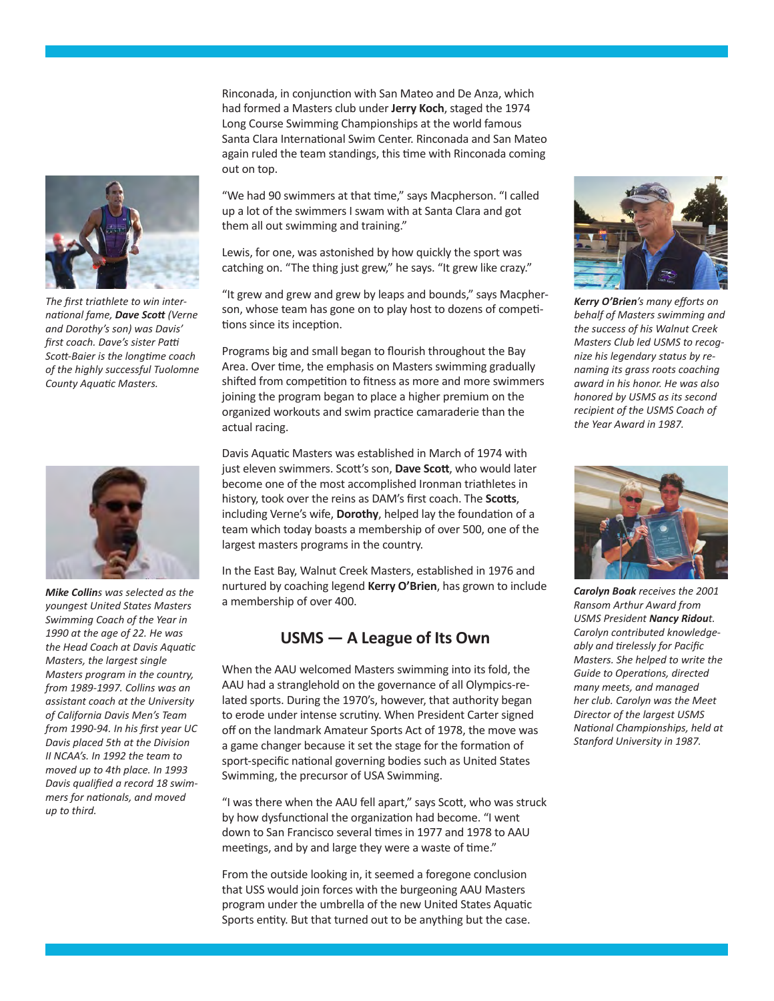

*The first triathlete to win international fame, Dave Scott (Verne and Dorothy's son) was Davis' first coach. Dave's sister Patti Scott-Baier is the longtime coach of the highly successful Tuolomne County Aquatic Masters.*



*Mike Collins was selected as the youngest United States Masters Swimming Coach of the Year in 1990 at the age of 22. He was the Head Coach at Davis Aquatic Masters, the largest single Masters program in the country, from 1989-1997. Collins was an assistant coach at the University of California Davis Men's Team from 1990-94. In his first year UC Davis placed 5th at the Division II NCAA's. In 1992 the team to moved up to 4th place. In 1993 Davis qualified a record 18 swimmers for nationals, and moved up to third.* 

Rinconada, in conjunction with San Mateo and De Anza, which had formed a Masters club under **Jerry Koch**, staged the 1974 Long Course Swimming Championships at the world famous Santa Clara International Swim Center. Rinconada and San Mateo again ruled the team standings, this time with Rinconada coming out on top.

"We had 90 swimmers at that time," says Macpherson. "I called up a lot of the swimmers I swam with at Santa Clara and got them all out swimming and training."

Lewis, for one, was astonished by how quickly the sport was catching on. "The thing just grew," he says. "It grew like crazy."

"It grew and grew and grew by leaps and bounds," says Macpherson, whose team has gone on to play host to dozens of competitions since its inception.

Programs big and small began to flourish throughout the Bay Area. Over time, the emphasis on Masters swimming gradually shifted from competition to fitness as more and more swimmers joining the program began to place a higher premium on the organized workouts and swim practice camaraderie than the actual racing.

Davis Aquatic Masters was established in March of 1974 with just eleven swimmers. Scott's son, **Dave Scott**, who would later become one of the most accomplished Ironman triathletes in history, took over the reins as DAM's first coach. The **Scotts**, including Verne's wife, **Dorothy**, helped lay the foundation of a team which today boasts a membership of over 500, one of the largest masters programs in the country.

In the East Bay, Walnut Creek Masters, established in 1976 and nurtured by coaching legend **Kerry O'Brien**, has grown to include a membership of over 400.

### **USMS — A League of Its Own**

When the AAU welcomed Masters swimming into its fold, the AAU had a stranglehold on the governance of all Olympics-related sports. During the 1970's, however, that authority began to erode under intense scrutiny. When President Carter signed off on the landmark Amateur Sports Act of 1978, the move was a game changer because it set the stage for the formation of sport-specific national governing bodies such as United States Swimming, the precursor of USA Swimming.

"I was there when the AAU fell apart," says Scott, who was struck by how dysfunctional the organization had become. "I went down to San Francisco several times in 1977 and 1978 to AAU meetings, and by and large they were a waste of time."

From the outside looking in, it seemed a foregone conclusion that USS would join forces with the burgeoning AAU Masters program under the umbrella of the new United States Aquatic Sports entity. But that turned out to be anything but the case.



*Kerry O'Brien's many efforts on behalf of Masters swimming and the success of his Walnut Creek Masters Club led USMS to recognize his legendary status by renaming its grass roots coaching award in his honor. He was also honored by USMS as its second recipient of the USMS Coach of the Year Award in 1987.*



*Carolyn Boak receives the 2001 Ransom Arthur Award from USMS President Nancy Ridout. Carolyn contributed knowledgeably and tirelessly for Pacific Masters. She helped to write the Guide to Operations, directed many meets, and managed her club. Carolyn was the Meet Director of the largest USMS National Championships, held at Stanford University in 1987.*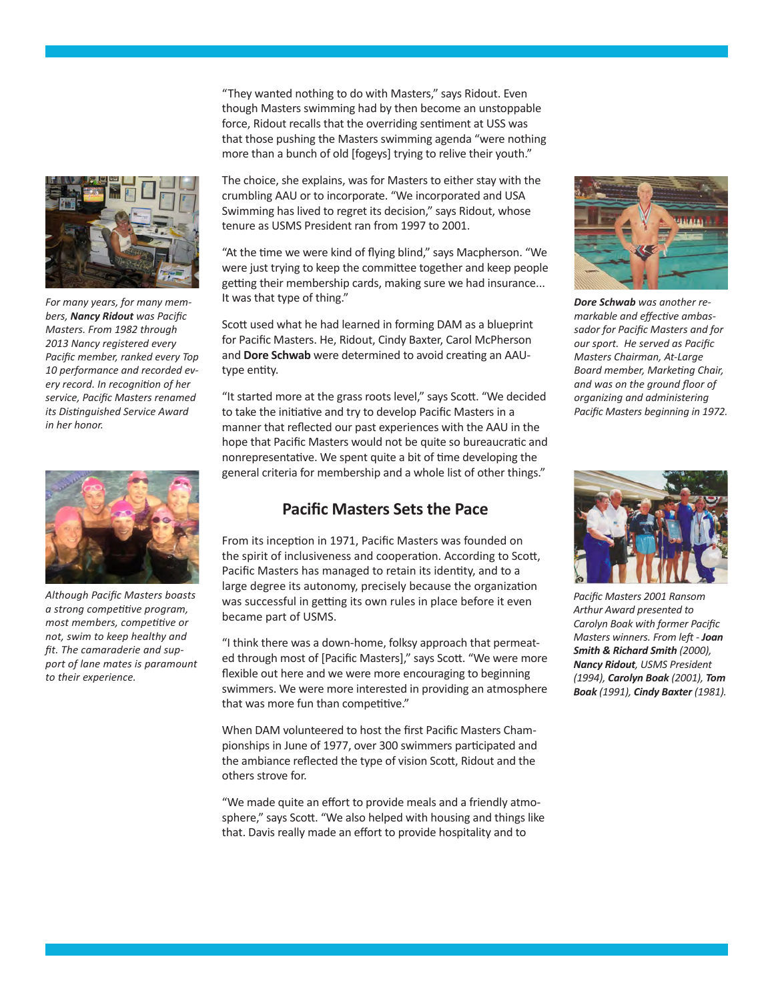

*For many years, for many members, Nancy Ridout was Pacific Masters. From 1982 through 2013 Nancy registered every Pacific member, ranked every Top 10 performance and recorded every record. In recognition of her service, Pacific Masters renamed its Distinguished Service Award in her honor.*



*Although Pacific Masters boasts a strong competitive program, most members, competitive or not, swim to keep healthy and fit. The camaraderie and support of lane mates is paramount to their experience.* 

"They wanted nothing to do with Masters," says Ridout. Even though Masters swimming had by then become an unstoppable force, Ridout recalls that the overriding sentiment at USS was that those pushing the Masters swimming agenda "were nothing more than a bunch of old [fogeys] trying to relive their youth."

The choice, she explains, was for Masters to either stay with the crumbling AAU or to incorporate. "We incorporated and USA Swimming has lived to regret its decision," says Ridout, whose tenure as USMS President ran from 1997 to 2001.

"At the time we were kind of flying blind," says Macpherson. "We were just trying to keep the committee together and keep people getting their membership cards, making sure we had insurance... It was that type of thing."

Scott used what he had learned in forming DAM as a blueprint for Pacific Masters. He, Ridout, Cindy Baxter, Carol McPherson and **Dore Schwab** were determined to avoid creating an AAUtype entity.

"It started more at the grass roots level," says Scott. "We decided to take the initiative and try to develop Pacific Masters in a manner that reflected our past experiences with the AAU in the hope that Pacific Masters would not be quite so bureaucratic and nonrepresentative. We spent quite a bit of time developing the general criteria for membership and a whole list of other things."

## **Pacific Masters Sets the Pace**

From its inception in 1971, Pacific Masters was founded on the spirit of inclusiveness and cooperation. According to Scott, Pacific Masters has managed to retain its identity, and to a large degree its autonomy, precisely because the organization was successful in getting its own rules in place before it even became part of USMS.

"I think there was a down-home, folksy approach that permeated through most of [Pacific Masters]," says Scott. "We were more flexible out here and we were more encouraging to beginning swimmers. We were more interested in providing an atmosphere that was more fun than competitive."

When DAM volunteered to host the first Pacific Masters Championships in June of 1977, over 300 swimmers participated and the ambiance reflected the type of vision Scott, Ridout and the others strove for.

"We made quite an effort to provide meals and a friendly atmosphere," says Scott. "We also helped with housing and things like that. Davis really made an effort to provide hospitality and to



*Dore Schwab was another remarkable and effective ambassador for Pacific Masters and for our sport. He served as Pacific Masters Chairman, At-Large Board member, Marketing Chair, and was on the ground floor of organizing and administering Pacific Masters beginning in 1972.* 



*Pacific Masters 2001 Ransom Arthur Award presented to Carolyn Boak with former Pacific Masters winners. From left - Joan Smith & Richard Smith (2000), Nancy Ridout, USMS President (1994), Carolyn Boak (2001), Tom Boak (1991), Cindy Baxter (1981).*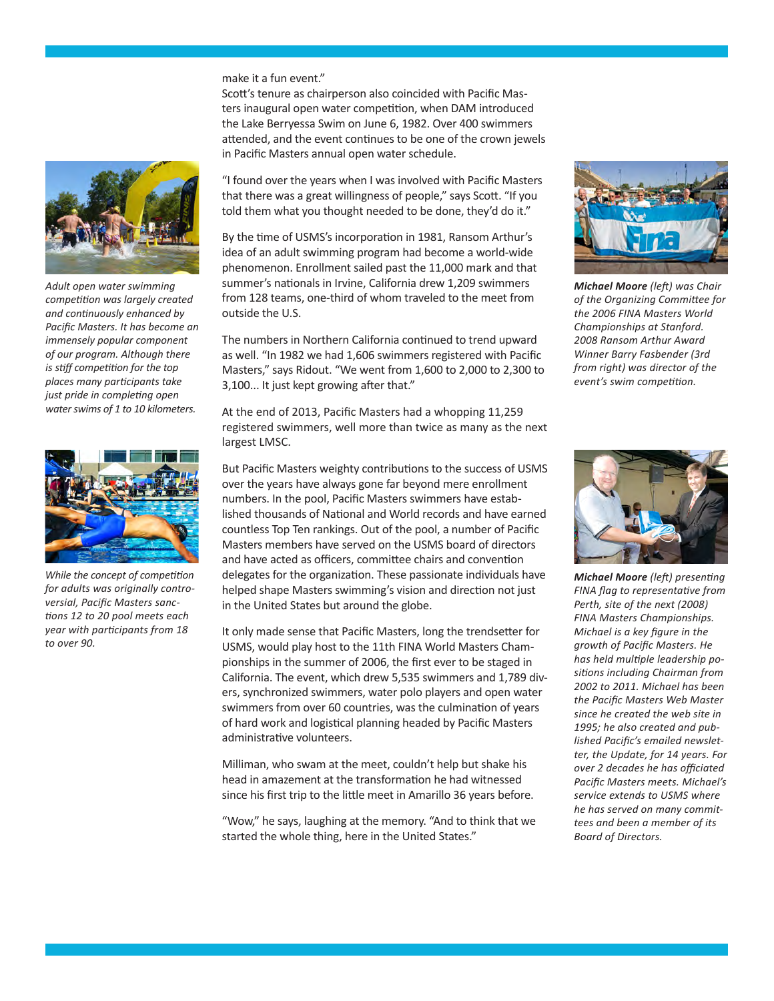#### make it a fun event."

Scott's tenure as chairperson also coincided with Pacific Masters inaugural open water competition, when DAM introduced the Lake Berryessa Swim on June 6, 1982. Over 400 swimmers attended, and the event continues to be one of the crown jewels in Pacific Masters annual open water schedule.

"I found over the years when I was involved with Pacific Masters that there was a great willingness of people," says Scott. "If you told them what you thought needed to be done, they'd do it."

By the time of USMS's incorporation in 1981, Ransom Arthur's idea of an adult swimming program had become a world-wide phenomenon. Enrollment sailed past the 11,000 mark and that summer's nationals in Irvine, California drew 1,209 swimmers from 128 teams, one-third of whom traveled to the meet from outside the U.S.

The numbers in Northern California continued to trend upward as well. "In 1982 we had 1,606 swimmers registered with Pacific Masters," says Ridout. "We went from 1,600 to 2,000 to 2,300 to 3,100... It just kept growing after that."

At the end of 2013, Pacific Masters had a whopping 11,259 registered swimmers, well more than twice as many as the next largest LMSC.

But Pacific Masters weighty contributions to the success of USMS over the years have always gone far beyond mere enrollment numbers. In the pool, Pacific Masters swimmers have established thousands of National and World records and have earned countless Top Ten rankings. Out of the pool, a number of Pacific Masters members have served on the USMS board of directors and have acted as officers, committee chairs and convention delegates for the organization. These passionate individuals have helped shape Masters swimming's vision and direction not just in the United States but around the globe.

It only made sense that Pacific Masters, long the trendsetter for USMS, would play host to the 11th FINA World Masters Championships in the summer of 2006, the first ever to be staged in California. The event, which drew 5,535 swimmers and 1,789 divers, synchronized swimmers, water polo players and open water swimmers from over 60 countries, was the culmination of years of hard work and logistical planning headed by Pacific Masters administrative volunteers.

Milliman, who swam at the meet, couldn't help but shake his head in amazement at the transformation he had witnessed since his first trip to the little meet in Amarillo 36 years before.

"Wow," he says, laughing at the memory. "And to think that we started the whole thing, here in the United States."



*Championships at Stanford. 2008 Ransom Arthur Award Winner Barry Fasbender (3rd from right) was director of the event's swim competition.*



*Michael Moore (left) presenting FINA flag to representative from Perth, site of the next (2008) FINA Masters Championships. Michael is a key figure in the growth of Pacific Masters. He has held multiple leadership positions including Chairman from 2002 to 2011. Michael has been the Pacific Masters Web Master since he created the web site in 1995; he also created and published Pacific's emailed newsletter, the Update, for 14 years. For over 2 decades he has officiated Pacific Masters meets. Michael's service extends to USMS where he has served on many committees and been a member of its Board of Directors.*



*Adult open water swimming competition was largely created and continuously enhanced by Pacific Masters. It has become an immensely popular component of our program. Although there is stiff competition for the top places many participants take just pride in completing open water swims of 1 to 10 kilometers.*



*While the concept of competition for adults was originally controversial, Pacific Masters sanctions 12 to 20 pool meets each year with participants from 18 to over 90.*